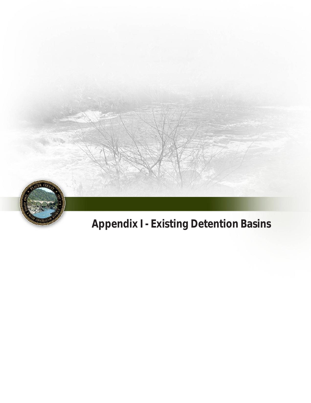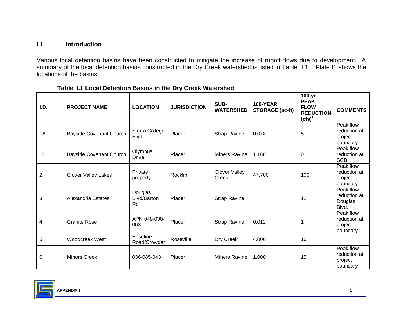## **I.1 Introduction**

 Various local detention basins have been constructed to mitigate the increase of runoff flows due to development. A summary of the local detention basins constructed in the Dry Creek watershed is listed in Table I.1. Plate I1 shows the locations of the basins.

| I.D.           | <b>PROJECT NAME</b>            | <b>LOCATION</b>                     | <b>JURISDICTION</b> | SUB-<br><b>WATERSHED</b>      | <b>100-YEAR</b><br><b>STORAGE (ac-ft)</b> | 100-yr<br><b>PEAK</b><br><b>FLOW</b><br><b>REDUCTION</b><br>$(cfs)^1$ | <b>COMMENTS</b>                                  |
|----------------|--------------------------------|-------------------------------------|---------------------|-------------------------------|-------------------------------------------|-----------------------------------------------------------------------|--------------------------------------------------|
| 1A             | <b>Bayside Covenant Church</b> | Sierra College<br><b>Blvd</b>       | Placer              | <b>Strap Ravine</b>           | 0.078                                     | 5                                                                     | Peak flow<br>reduction at<br>project<br>boundary |
| 1B             | Bayside Covenant Church        | Olympus<br><b>Drive</b>             | Placer              | <b>Miners Ravine</b>          | 1.160                                     | $\Omega$                                                              | Peak flow<br>reduction at<br><b>SCB</b>          |
| $\overline{2}$ | <b>Clover Valley Lakes</b>     | Private<br>property                 | Rocklin             | <b>Clover Valley</b><br>Creek | 47.700                                    | 106                                                                   | Peak flow<br>reduction at<br>project<br>boundary |
| 3              | Alexandria Estates             | Douglas<br><b>Blvd/Barton</b><br>Rd | Placer              | <b>Strap Ravine</b>           |                                           | 12                                                                    | Peak flow<br>reduction at<br>Douglas<br>Blvd.    |
| 4              | <b>Granite Rose</b>            | APN 048-030-<br>063                 | Placer              | <b>Strap Ravine</b>           | 0.012                                     | 1                                                                     | Peak flow<br>reduction at<br>project<br>boundary |
| 5              | Woodcreek West                 | <b>Baseline</b><br>Road/Crowder     | Roseville           | Dry Creek                     | 4.000                                     | 16                                                                    |                                                  |
| 6              | <b>Miners Creek</b>            | 036-085-043                         | Placer              | <b>Miners Ravine</b>          | 1.000                                     | 15                                                                    | Peak flow<br>reduction at<br>project<br>boundary |

 **Table I.1 Local Detention Basins in the Dry Creek Watershed** 

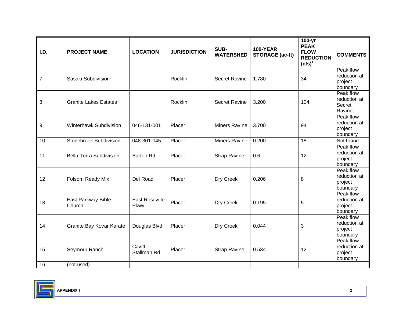| I.D.             | <b>PROJECT NAME</b>            | <b>LOCATION</b>        | <b>JURISDICTION</b> | SUB-<br><b>WATERSHED</b> | <b>100-YEAR</b><br><b>STORAGE</b> (ac-ft) | 100-yr<br><b>PEAK</b><br><b>FLOW</b><br><b>REDUCTION</b><br>$(cfs)^1$ | <b>COMMENTS</b>                                  |
|------------------|--------------------------------|------------------------|---------------------|--------------------------|-------------------------------------------|-----------------------------------------------------------------------|--------------------------------------------------|
| $\overline{7}$   | Sasaki Subdivision             |                        | Rocklin             | Secret Ravine            | 1.780                                     | 34                                                                    | Peak flow<br>reduction at<br>project<br>boundary |
| 8                | <b>Granite Lakes Estates</b>   |                        | Rocklin             | <b>Secret Ravine</b>     | 3.200                                     | 104                                                                   | Peak flow<br>reduction at<br>Secret<br>Ravine    |
| $\boldsymbol{9}$ | Winterhawk Subdivision         | 046-131-001            | Placer              | <b>Miners Ravine</b>     | 3.700                                     | 94                                                                    | Peak flow<br>reduction at<br>project<br>boundary |
| 10               | Stonebrook Subdivision         | 048-301-045            | Placer              | Miners Ravine            | 0.200                                     | 18                                                                    | Not found                                        |
| 11               | <b>Bella Terra Subdivision</b> | <b>Barton Rd</b>       | Placer              | <b>Strap Ravine</b>      | 0.6                                       | 12                                                                    | Peak flow<br>reduction at<br>project<br>boundary |
| 12               | Folsom Ready Mix               | Del Road               | Placer              | Dry Creek                | 0.206                                     | 8                                                                     | Peak flow<br>reduction at<br>project<br>boundary |
| 13               | East Parkway Bible<br>Church   | East Roseville<br>Pkwy | Placer              | Dry Creek                | 0.195                                     | 5                                                                     | Peak flow<br>reduction at<br>project<br>boundary |
| 14               | Granite Bay Kovar Karate       | Douglas Blvd           | Placer              | Dry Creek                | 0.044                                     | 3                                                                     | Peak flow<br>reduction at<br>project<br>boundary |
| 15               | Seymour Ranch                  | Cavitt-<br>Stallman Rd | Placer              | <b>Strap Ravine</b>      | 0.534                                     | 12                                                                    | Peak flow<br>reduction at<br>project<br>boundary |
| 16               | (not used)                     |                        |                     |                          |                                           |                                                                       |                                                  |

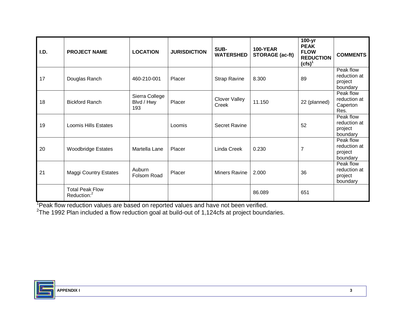| I.D. | <b>PROJECT NAME</b>                               | <b>LOCATION</b>                     | <b>JURISDICTION</b> | SUB-<br><b>WATERSHED</b> | <b>100-YEAR</b><br><b>STORAGE (ac-ft)</b> | $100 - yr$<br><b>PEAK</b><br><b>FLOW</b><br><b>REDUCTION</b><br>$(cfs)^1$ | <b>COMMENTS</b>                                  |
|------|---------------------------------------------------|-------------------------------------|---------------------|--------------------------|-------------------------------------------|---------------------------------------------------------------------------|--------------------------------------------------|
| 17   | Douglas Ranch                                     | 460-210-001                         | Placer              | <b>Strap Ravine</b>      | 8.300                                     | 89                                                                        | Peak flow<br>reduction at<br>project<br>boundary |
| 18   | <b>Bickford Ranch</b>                             | Sierra College<br>Blvd / Hwy<br>193 | Placer              | Clover Valley<br>Creek   | 11.150                                    | 22 (planned)                                                              | Peak flow<br>reduction at<br>Caperton<br>Res.    |
| 19   | <b>Loomis Hills Estates</b>                       |                                     | Loomis              | <b>Secret Ravine</b>     |                                           | 52                                                                        | Peak flow<br>reduction at<br>project<br>boundary |
| 20   | <b>Woodbridge Estates</b>                         | Martella Lane                       | Placer              | Linda Creek              | 0.230                                     | $\overline{7}$                                                            | Peak flow<br>reduction at<br>project<br>boundary |
| 21   | <b>Maggi Country Estates</b>                      | Auburn<br>Folsom Road               | Placer              | Miners Ravine            | 2.000                                     | 36                                                                        | Peak flow<br>reduction at<br>project<br>boundary |
|      | <b>Total Peak Flow</b><br>Reduction: <sup>2</sup> |                                     |                     |                          | 86.089                                    | 651                                                                       |                                                  |

<sup>1</sup>Peak flow reduction values are based on reported values and have not been verified.<br><sup>2</sup>The 1992 Plan included a flow reduction goal at build-out of 1,124cfs at project boundaries.